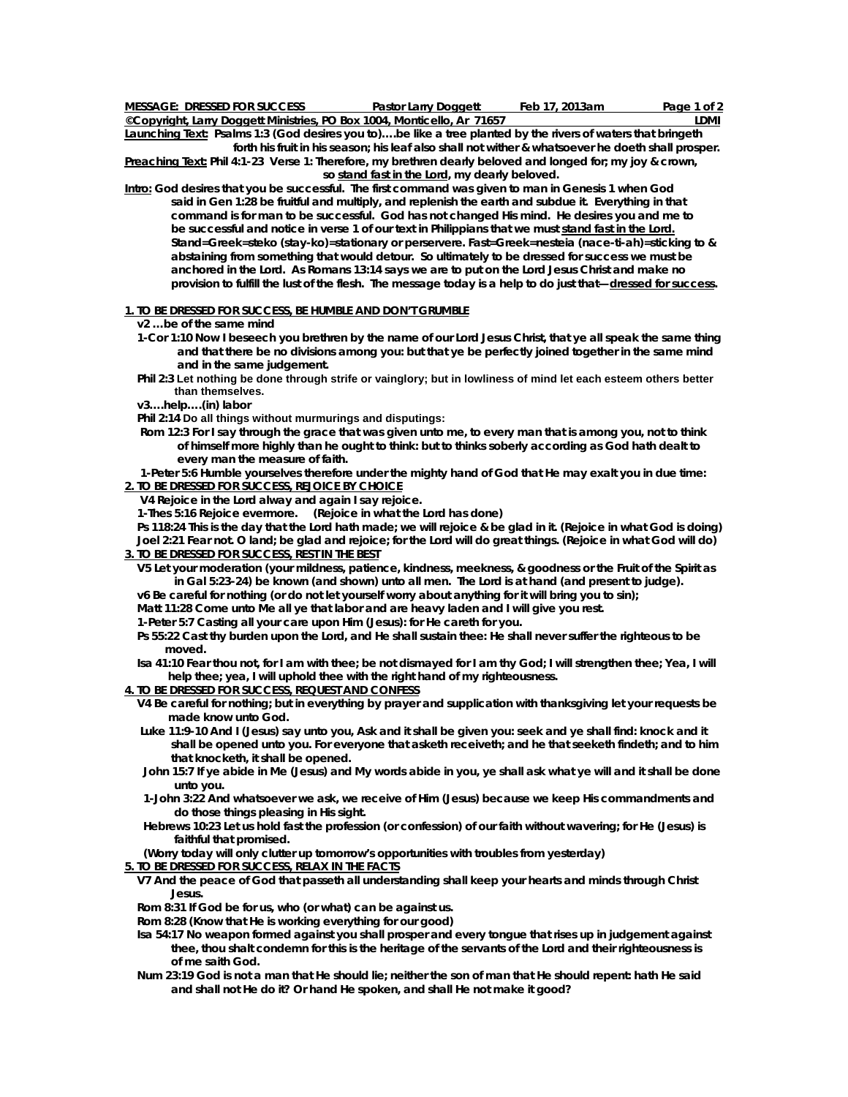| <b>MESSAGE: DRESSED FOR SUCCESS</b>                                     | <b>Pastor Larry Doggett</b> | Feb 17, 2013am | Page 1 of 2 |
|-------------------------------------------------------------------------|-----------------------------|----------------|-------------|
| ©Copyright, Larry Doggett Ministries, PO Box 1004, Monticello, Ar 71657 |                             |                | ∟DMI        |

**Launching Text: Psalms 1:3 (God desires you to)….be like a tree planted by the rivers of waters that bringeth forth his fruit in his season; his leaf also shall not wither & whatsoever he doeth shall prosper.** 

**Preaching Text: Phil 4:1-23 Verse 1: Therefore, my brethren dearly beloved and longed for; my joy & crown, so stand fast in the Lord, my dearly beloved.** 

**Intro: God desires that you be successful. The first command was given to man in Genesis 1 when God said in Gen 1:28 be fruitful and multiply, and replenish the earth and subdue it. Everything in that command is for man to be successful. God has not changed His mind. He desires you and me to be successful and notice in verse 1 of our text in Philippians that we must stand fast in the Lord. Stand=Greek=steko (stay-ko)=stationary or perservere. Fast=Greek=nesteia (nace-ti-ah)=sticking to & abstaining from something that would detour. So ultimately to be dressed for success we must be anchored in the Lord. As Romans 13:14 says we are to put on the Lord Jesus Christ and make no provision to fulfill the lust of the flesh. The message today is a help to do just that—dressed for success.** 

## **1. TO BE DRESSED FOR SUCCESS, BE HUMBLE AND DON'T GRUMBLE**

 **v2 …be of the same mind** 

- **1-Cor 1:10 Now I beseech you brethren by the name of our Lord Jesus Christ, that ye all speak the same thing and that there be no divisions among you: but that ye be perfectly joined together in the same mind and in the same judgement.**
- **Phil 2:3 Let nothing be done through strife or vainglory; but in lowliness of mind let each esteem others better than themselves.**
- **v3….help….(in) labor**

 **Phil 2:14 Do all things without murmurings and disputings:**

 **Rom 12:3 For I say through the grace that was given unto me, to every man that is among you, not to think of himself more highly than he ought to think: but to thinks soberly according as God hath dealt to every man the measure of faith.** 

 **1-Peter 5:6 Humble yourselves therefore under the mighty hand of God that He may exalt you in due time: 2. TO BE DRESSED FOR SUCCESS, REJOICE BY CHOICE**

 **V4 Rejoice in the Lord alway and again I say rejoice.** 

 **1-Thes 5:16 Rejoice evermore. (***Rejoice in what the Lord has done)* 

 **Ps 118:24 This is the day that the Lord hath made; we will rejoice & be glad in it.** *(Rejoice in what God is doing)*   **Joel 2:21 Fear not. O land; be glad and rejoice; for the Lord will do great things. (***Rejoice in what God will do)*  **3. TO BE DRESSED FOR SUCCESS, REST IN THE BEST**

 **V5 Let your moderation (your mildness, patience, kindness, meekness, & goodness or the Fruit of the Spirit as in Gal 5:23-24) be known (and shown) unto all men. The Lord is at hand (and present to judge).** 

 **v6 Be careful for nothing (or do not let yourself worry about anything for it will bring you to sin);** 

 **Matt 11:28 Come unto Me all ye that labor and are heavy laden and I will give you rest.** 

 **1-Peter 5:7 Casting all your care upon Him (Jesus): for He careth for you.** 

 **Ps 55:22 Cast thy burden upon the Lord, and He shall sustain thee: He shall never suffer the righteous to be moved.** 

 **Isa 41:10 Fear thou not, for I am with thee; be not dismayed for I am thy God; I will strengthen thee; Yea, I will help thee; yea, I will uphold thee with the right hand of my righteousness.** 

**4. TO BE DRESSED FOR SUCCESS, REQUEST AND CONFESS**

- **V4 Be careful for nothing; but in everything by prayer and supplication with thanksgiving let your requests be made know unto God.**
- **Luke 11:9-10 And I (Jesus) say unto you, Ask and it shall be given you: seek and ye shall find: knock and it shall be opened unto you. For everyone that asketh receiveth; and he that seeketh findeth; and to him that knocketh, it shall be opened.**
- **John 15:7 If ye abide in Me (Jesus) and My words abide in you, ye shall ask what ye will and it shall be done unto you.**
- **1-John 3:22 And whatsoever we ask, we receive of Him (Jesus) because we keep His commandments and do those things pleasing in His sight.**
- **Hebrews 10:23 Let us hold fast the profession (or confession) of our faith without wavering; for He (Jesus) is faithful that promised.**

 **(Worry today will only clutter up tomorrow's opportunities with troubles from yesterday)** 

- **5. TO BE DRESSED FOR SUCCESS, RELAX IN THE FACTS**
	- **V7 And the peace of God that passeth all understanding shall keep your hearts and minds through Christ Jesus.**

 **Rom 8:31 If God be for us, who (or what) can be against us.** 

 **Rom 8:28 (Know that He is working everything for our good)** 

- **Isa 54:17 No weapon formed against you shall prosper and every tongue that rises up in judgement against thee, thou shalt condemn for this is the heritage of the servants of the Lord and their righteousness is of me saith God.**
- **Num 23:19 God is not a man that He should lie; neither the son of man that He should repent: hath He said and shall not He do it? Or hand He spoken, and shall He not make it good?**